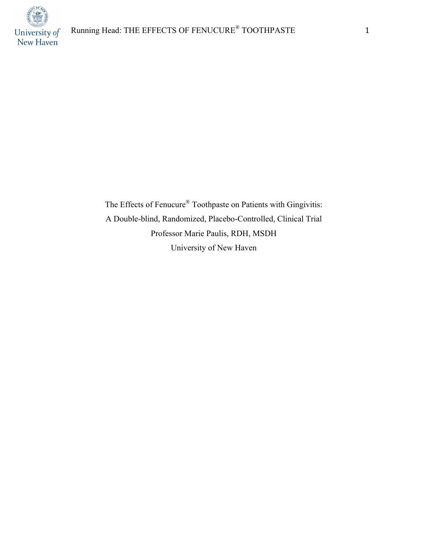

The Effects of Fenucure® Toothpaste on Patients with Gingivitis: A Double-blind, Randomized, Placebo-Controlled, Clinical Trial Professor Marie Paulis, RDH, MSDH University of New Haven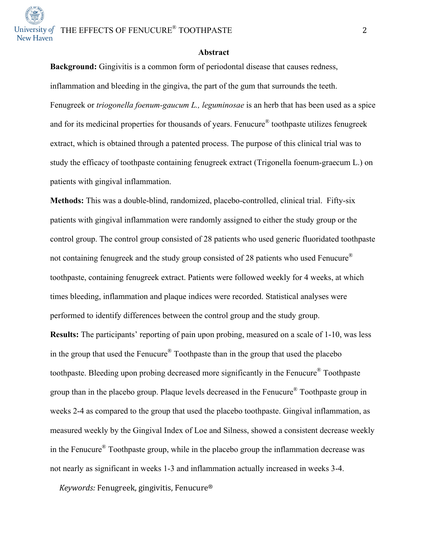University of  $\Gamma$ HE EFFECTS OF FENUCURE<sup>®</sup> TOOTHPASTE 2

#### **Abstract**

**Background:** Gingivitis is a common form of periodontal disease that causes redness, inflammation and bleeding in the gingiva, the part of the gum that surrounds the teeth. Fenugreek or *triogonella foenum-gaucum L., leguminosae* is an herb that has been used as a spice and for its medicinal properties for thousands of years. Fenucure® toothpaste utilizes fenugreek extract, which is obtained through a patented process. The purpose of this clinical trial was to study the efficacy of toothpaste containing fenugreek extract (Trigonella foenum-graecum L.) on patients with gingival inflammation.

**Methods:** This was a double-blind, randomized, placebo-controlled, clinical trial. Fifty-six patients with gingival inflammation were randomly assigned to either the study group or the control group. The control group consisted of 28 patients who used generic fluoridated toothpaste not containing fenugreek and the study group consisted of 28 patients who used Fenucure® toothpaste, containing fenugreek extract. Patients were followed weekly for 4 weeks, at which times bleeding, inflammation and plaque indices were recorded. Statistical analyses were performed to identify differences between the control group and the study group.

**Results:** The participants' reporting of pain upon probing, measured on a scale of 1-10, was less in the group that used the Fenucure® Toothpaste than in the group that used the placebo toothpaste. Bleeding upon probing decreased more significantly in the Fenucure® Toothpaste group than in the placebo group. Plaque levels decreased in the Fenucure® Toothpaste group in weeks 2-4 as compared to the group that used the placebo toothpaste. Gingival inflammation, as measured weekly by the Gingival Index of Loe and Silness, showed a consistent decrease weekly in the Fenucure® Toothpaste group, while in the placebo group the inflammation decrease was not nearly as significant in weeks 1-3 and inflammation actually increased in weeks 3-4.

*Keywords:* Fenugreek, gingivitis, Fenucure<sup>®</sup>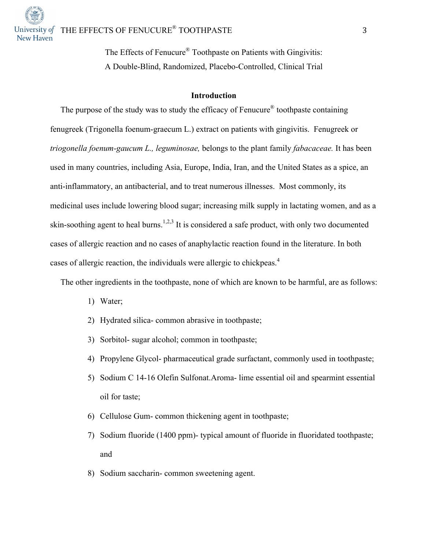

The Effects of Fenucure® Toothpaste on Patients with Gingivitis: A Double-Blind, Randomized, Placebo-Controlled, Clinical Trial

### **Introduction**

The purpose of the study was to study the efficacy of Fenucure® toothpaste containing fenugreek (Trigonella foenum-graecum L.) extract on patients with gingivitis. Fenugreek or *triogonella foenum-gaucum L., leguminosae,* belongs to the plant family *fabacaceae.* It has been used in many countries, including Asia, Europe, India, Iran, and the United States as a spice, an anti-inflammatory, an antibacterial, and to treat numerous illnesses. Most commonly, its medicinal uses include lowering blood sugar; increasing milk supply in lactating women, and as a skin-soothing agent to heal burns.<sup>1,2,3</sup> It is considered a safe product, with only two documented cases of allergic reaction and no cases of anaphylactic reaction found in the literature. In both cases of allergic reaction, the individuals were allergic to chickpeas.<sup>4</sup>

The other ingredients in the toothpaste, none of which are known to be harmful, are as follows:

- 1) Water;
- 2) Hydrated silica- common abrasive in toothpaste;
- 3) Sorbitol- sugar alcohol; common in toothpaste;
- 4) Propylene Glycol- pharmaceutical grade surfactant, commonly used in toothpaste;
- 5) Sodium C 14-16 Olefin Sulfonat.Aroma- lime essential oil and spearmint essential oil for taste;
- 6) Cellulose Gum- common thickening agent in toothpaste;
- 7) Sodium fluoride (1400 ppm)- typical amount of fluoride in fluoridated toothpaste; and
- 8) Sodium saccharin- common sweetening agent.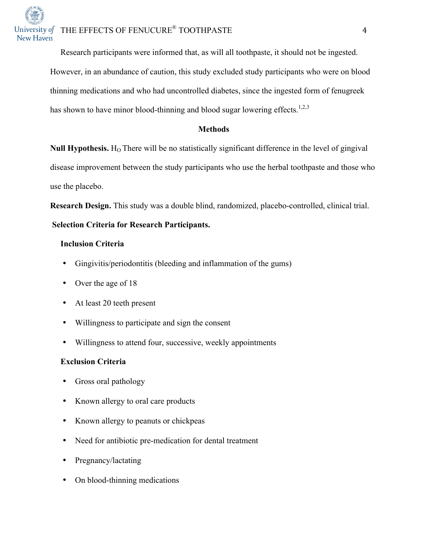Research participants were informed that, as will all toothpaste, it should not be ingested. However, in an abundance of caution, this study excluded study participants who were on blood thinning medications and who had uncontrolled diabetes, since the ingested form of fenugreek has shown to have minor blood-thinning and blood sugar lowering effects.<sup>1,2,3</sup>

### **Methods**

**Null Hypothesis.** H<sub>O</sub> There will be no statistically significant difference in the level of gingival disease improvement between the study participants who use the herbal toothpaste and those who use the placebo.

**Research Design.** This study was a double blind, randomized, placebo-controlled, clinical trial.

### **Selection Criteria for Research Participants.**

### **Inclusion Criteria**

- Gingivitis/periodontitis (bleeding and inflammation of the gums)
- Over the age of 18
- At least 20 teeth present
- Willingness to participate and sign the consent
- Willingness to attend four, successive, weekly appointments

### **Exclusion Criteria**

- Gross oral pathology
- Known allergy to oral care products
- Known allergy to peanuts or chickpeas
- Need for antibiotic pre-medication for dental treatment
- Pregnancy/lactating
- On blood-thinning medications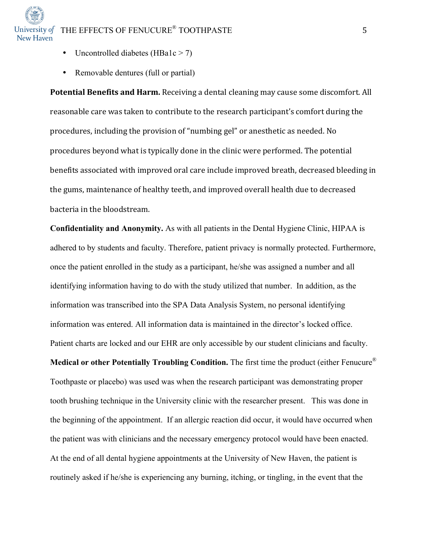- Uncontrolled diabetes (HBa1c  $>$  7)
- Removable dentures (full or partial)

**Potential Benefits and Harm.** Receiving a dental cleaning may cause some discomfort. All reasonable care was taken to contribute to the research participant's comfort during the procedures, including the provision of "numbing gel" or anesthetic as needed. No procedures beyond what is typically done in the clinic were performed. The potential benefits associated with improved oral care include improved breath, decreased bleeding in the gums, maintenance of healthy teeth, and improved overall health due to decreased bacteria in the bloodstream.

**Confidentiality and Anonymity.** As with all patients in the Dental Hygiene Clinic, HIPAA is adhered to by students and faculty. Therefore, patient privacy is normally protected. Furthermore, once the patient enrolled in the study as a participant, he/she was assigned a number and all identifying information having to do with the study utilized that number. In addition, as the information was transcribed into the SPA Data Analysis System, no personal identifying information was entered. All information data is maintained in the director's locked office. Patient charts are locked and our EHR are only accessible by our student clinicians and faculty. **Medical or other Potentially Troubling Condition.** The first time the product (either Fenucure® Toothpaste or placebo) was used was when the research participant was demonstrating proper tooth brushing technique in the University clinic with the researcher present. This was done in the beginning of the appointment. If an allergic reaction did occur, it would have occurred when the patient was with clinicians and the necessary emergency protocol would have been enacted.

routinely asked if he/she is experiencing any burning, itching, or tingling, in the event that the

At the end of all dental hygiene appointments at the University of New Haven, the patient is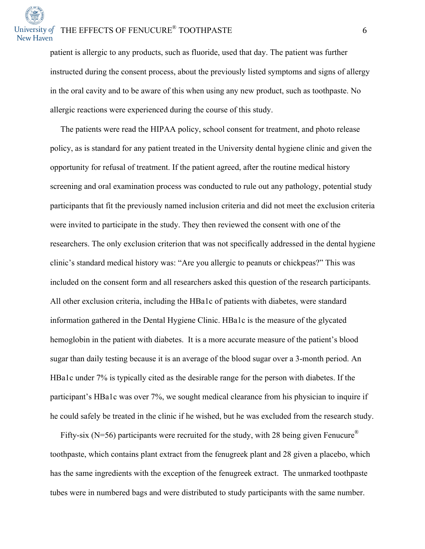patient is allergic to any products, such as fluoride, used that day. The patient was further instructed during the consent process, about the previously listed symptoms and signs of allergy in the oral cavity and to be aware of this when using any new product, such as toothpaste. No allergic reactions were experienced during the course of this study.

 The patients were read the HIPAA policy, school consent for treatment, and photo release policy, as is standard for any patient treated in the University dental hygiene clinic and given the opportunity for refusal of treatment. If the patient agreed, after the routine medical history screening and oral examination process was conducted to rule out any pathology, potential study participants that fit the previously named inclusion criteria and did not meet the exclusion criteria were invited to participate in the study. They then reviewed the consent with one of the researchers. The only exclusion criterion that was not specifically addressed in the dental hygiene clinic's standard medical history was: "Are you allergic to peanuts or chickpeas?" This was included on the consent form and all researchers asked this question of the research participants. All other exclusion criteria, including the HBa1c of patients with diabetes, were standard information gathered in the Dental Hygiene Clinic. HBa1c is the measure of the glycated hemoglobin in the patient with diabetes. It is a more accurate measure of the patient's blood sugar than daily testing because it is an average of the blood sugar over a 3-month period. An HBa1c under 7% is typically cited as the desirable range for the person with diabetes. If the participant's HBa1c was over 7%, we sought medical clearance from his physician to inquire if he could safely be treated in the clinic if he wished, but he was excluded from the research study.

Fifty-six (N=56) participants were recruited for the study, with 28 being given Fenucure<sup>®</sup> toothpaste, which contains plant extract from the fenugreek plant and 28 given a placebo, which has the same ingredients with the exception of the fenugreek extract. The unmarked toothpaste tubes were in numbered bags and were distributed to study participants with the same number.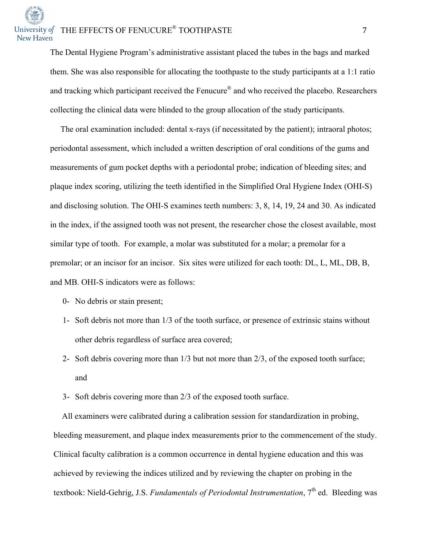# University of THE EFFECTS OF FENUCURE<sup>®</sup> TOOTHPASTE 7 New Haven

The Dental Hygiene Program's administrative assistant placed the tubes in the bags and marked them. She was also responsible for allocating the toothpaste to the study participants at a 1:1 ratio and tracking which participant received the Fenucure<sup>®</sup> and who received the placebo. Researchers collecting the clinical data were blinded to the group allocation of the study participants.

 The oral examination included: dental x-rays (if necessitated by the patient); intraoral photos; periodontal assessment, which included a written description of oral conditions of the gums and measurements of gum pocket depths with a periodontal probe; indication of bleeding sites; and plaque index scoring, utilizing the teeth identified in the Simplified Oral Hygiene Index (OHI-S) and disclosing solution. The OHI-S examines teeth numbers: 3, 8, 14, 19, 24 and 30. As indicated in the index, if the assigned tooth was not present, the researcher chose the closest available, most similar type of tooth. For example, a molar was substituted for a molar; a premolar for a premolar; or an incisor for an incisor. Six sites were utilized for each tooth: DL, L, ML, DB, B, and MB. OHI-S indicators were as follows:

- 0- No debris or stain present;
- 1- Soft debris not more than 1/3 of the tooth surface, or presence of extrinsic stains without other debris regardless of surface area covered;
- 2- Soft debris covering more than 1/3 but not more than 2/3, of the exposed tooth surface; and
- 3- Soft debris covering more than 2/3 of the exposed tooth surface.

 All examiners were calibrated during a calibration session for standardization in probing, bleeding measurement, and plaque index measurements prior to the commencement of the study. Clinical faculty calibration is a common occurrence in dental hygiene education and this was achieved by reviewing the indices utilized and by reviewing the chapter on probing in the textbook: Nield-Gehrig, J.S. *Fundamentals of Periodontal Instrumentation*, 7<sup>th</sup> ed. Bleeding was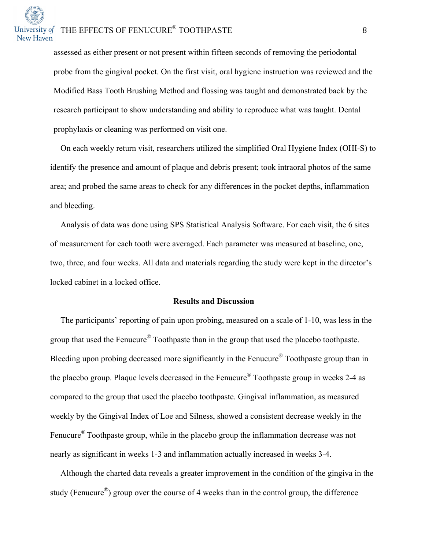assessed as either present or not present within fifteen seconds of removing the periodontal probe from the gingival pocket. On the first visit, oral hygiene instruction was reviewed and the Modified Bass Tooth Brushing Method and flossing was taught and demonstrated back by the research participant to show understanding and ability to reproduce what was taught. Dental prophylaxis or cleaning was performed on visit one.

 On each weekly return visit, researchers utilized the simplified Oral Hygiene Index (OHI-S) to identify the presence and amount of plaque and debris present; took intraoral photos of the same area; and probed the same areas to check for any differences in the pocket depths, inflammation and bleeding.

 Analysis of data was done using SPS Statistical Analysis Software. For each visit, the 6 sites of measurement for each tooth were averaged. Each parameter was measured at baseline, one, two, three, and four weeks. All data and materials regarding the study were kept in the director's locked cabinet in a locked office.

### **Results and Discussion**

 The participants' reporting of pain upon probing, measured on a scale of 1-10, was less in the group that used the Fenucure® Toothpaste than in the group that used the placebo toothpaste. Bleeding upon probing decreased more significantly in the Fenucure<sup>®</sup> Toothpaste group than in the placebo group. Plaque levels decreased in the Fenucure® Toothpaste group in weeks 2-4 as compared to the group that used the placebo toothpaste. Gingival inflammation, as measured weekly by the Gingival Index of Loe and Silness, showed a consistent decrease weekly in the Fenucure<sup>®</sup> Toothpaste group, while in the placebo group the inflammation decrease was not nearly as significant in weeks 1-3 and inflammation actually increased in weeks 3-4.

 Although the charted data reveals a greater improvement in the condition of the gingiva in the study (Fenucure<sup>®</sup>) group over the course of 4 weeks than in the control group, the difference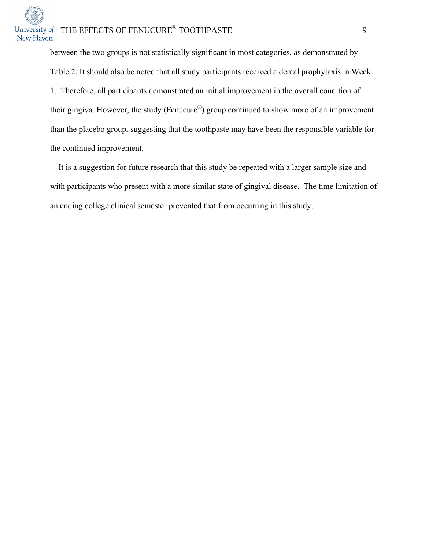between the two groups is not statistically significant in most categories, as demonstrated by Table 2. It should also be noted that all study participants received a dental prophylaxis in Week 1. Therefore, all participants demonstrated an initial improvement in the overall condition of their gingiva. However, the study (Fenucure®) group continued to show more of an improvement than the placebo group, suggesting that the toothpaste may have been the responsible variable for the continued improvement.

 It is a suggestion for future research that this study be repeated with a larger sample size and with participants who present with a more similar state of gingival disease. The time limitation of an ending college clinical semester prevented that from occurring in this study.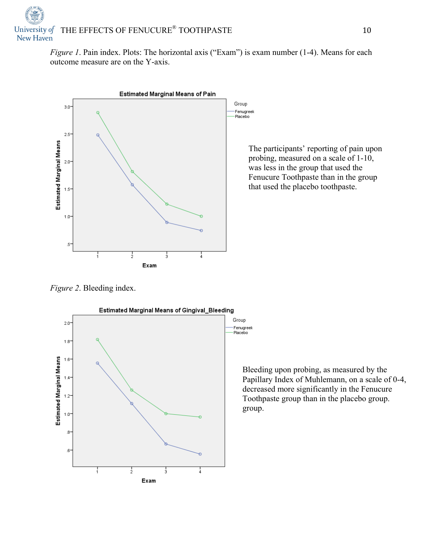*Figure 1*. Pain index. Plots: The horizontal axis ("Exam") is exam number (1-4). Means for each outcome measure are on the Y-axis.



The participants' reporting of pain upon probing, measured on a scale of 1-10, was less in the group that used the Fenucure Toothpaste than in the group that used the placebo toothpaste.

*Figure 2*. Bleeding index.



Bleeding upon probing, as measured by the Papillary Index of Muhlemann, on a scale of 0-4, decreased more significantly in the Fenucure Toothpaste group than in the placebo group. group.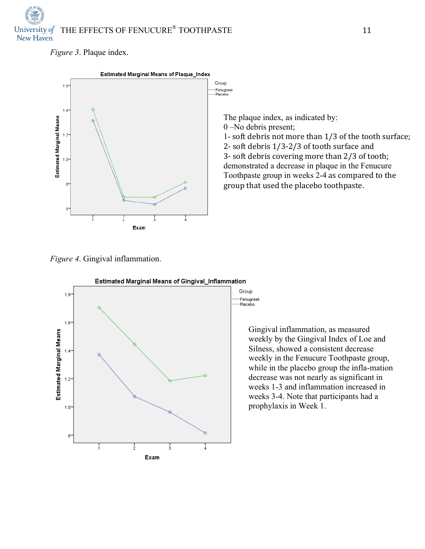# University of THE EFFECTS OF FENUCURE<sup>®</sup> TOOTHPASTE 11 New Haven

*Figure 3*. Plaque index.



The plaque index, as indicated by: 0 –No debris present; 1- soft debris not more than  $1/3$  of the tooth surface; 2- soft debris  $1/3-2/3$  of tooth surface and 3- soft debris covering more than 2/3 of tooth; demonstrated a decrease in plaque in the Fenucure Toothpaste group in weeks 2-4 as compared to the group that used the placebo toothpaste.

*Figure 4*. Gingival inflammation.



Gingival inflammation, as measured weekly by the Gingival Index of Loe and Silness, showed a consistent decrease weekly in the Fenucure Toothpaste group, while in the placebo group the infla-mation decrease was not nearly as significant in weeks 1-3 and inflammation increased in weeks 3-4. Note that participants had a prophylaxis in Week 1.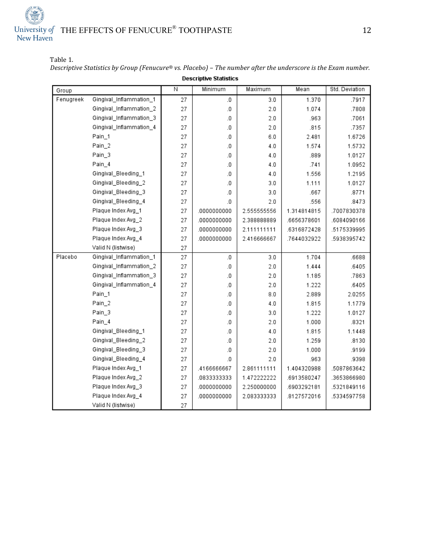# University of THE EFFECTS OF FENUCURE<sup>®</sup> TOOTHPASTE 12<br>New Haven

Table 1.

*Descriptive Statistics by Group* (Fenucure® *vs. Placebo)* – The number after the underscore is the Exam number. **Descriptive Statistics** 

| Group     |                         | Ν  | Minimum     | Maximum     | Mean        | Std. Deviation |
|-----------|-------------------------|----|-------------|-------------|-------------|----------------|
| Fenugreek | Gingival_Inflammation_1 | 27 | $\cdot$ 0   | 3.0         | 1.370       | .7917          |
|           | Gingival_Inflammation_2 | 27 | .0          | 2.0         | 1.074       | .7808          |
|           | Gingival_Inflammation_3 | 27 | $\cdot$ 0   | 2.0         | .963        | .7061          |
|           | Gingival_Inflammation_4 | 27 | $\cdot$ 0   | 2.0         | .815        | .7357          |
|           | Pain_1                  | 27 | $\cdot$     | 6.0         | 2.481       | 1.6726         |
|           | Pain_2                  | 27 | .0          | 4.0         | 1.574       | 1.5732         |
|           | Pain_3                  | 27 | .0          | 4.0         | .889        | 1.0127         |
|           | Pain_4                  | 27 | .0          | 4.0         | .741        | 1.0952         |
|           | Gingival_Bleeding_1     | 27 | .0          | 4.0         | 1.556       | 1.2195         |
|           | Gingival_Bleeding_2     | 27 | .0          | 3.0         | 1.111       | 1.0127         |
|           | Gingival_Bleeding_3     | 27 | .0          | 3.0         | .667        | .8771          |
|           | Gingival_Bleeding_4     | 27 | .0          | 2.0         | .556        | .8473          |
|           | Plaque Index Avg_1      | 27 | .0000000000 | 2.555555556 | 1.314814815 | .7007830378    |
|           | Plaque Index Avg_2      | 27 | .0000000000 | 2.388888889 | .6656378601 | .6084090166    |
|           | Plaque Index Avg_3      | 27 | .0000000000 | 2.111111111 | .6316872428 | .5175339995    |
|           | Plaque Index Avg_4      | 27 | .0000000000 | 2.416666667 | .7644032922 | .5938395742    |
|           | Valid N (listwise)      | 27 |             |             |             |                |
| Placebo   | Gingival_Inflammation_1 | 27 | $\cdot$     | 3.0         | 1.704       | .6688          |
|           | Gingival_Inflammation_2 | 27 | $\cdot$ 0   | 2.0         | 1.444       | .6405          |
|           | Gingival_Inflammation_3 | 27 | .0          | 2.0         | 1.185       | .7863          |
|           | Gingival_Inflammation_4 | 27 | .0          | 2.0         | 1.222       | .6405          |
|           | Pain_1                  | 27 | .0          | 8.0         | 2.889       | 2.0255         |
|           | Pain_2                  | 27 | $\cdot$ 0   | 4.0         | 1.815       | 1.1779         |
|           | Pain_3                  | 27 | .0          | 3.0         | 1.222       | 1.0127         |
|           | Pain_4                  | 27 | .0          | 2.0         | 1.000       | .8321          |
|           | Gingival_Bleeding_1     | 27 | .0          | 4.0         | 1.815       | 1.1448         |
|           | Gingival_Bleeding_2     | 27 | .0          | 2.0         | 1.259       | .8130          |
|           | Gingival_Bleeding_3     | 27 | $\cdot$ 0   | 2.0         | 1.000       | .9199          |
|           | Gingival_Bleeding_4     | 27 | .0          | 2.0         | .963        | .9398          |
|           | Plaque Index Avg_1      | 27 | .4166666667 | 2.861111111 | 1.404320988 | .5087863642    |
|           | Plaque Index Avg_2      | 27 | .0833333333 | 1.472222222 | .6913580247 | .3653866980    |
|           | Plaque Index Avg_3      | 27 | .0000000000 | 2.250000000 | 6903292181  | .5321849116    |
|           | Plaque Index Avg_4      | 27 | .0000000000 | 2.083333333 | 8127572016  | .5334597758    |
|           | Valid N (listwise)      | 27 |             |             |             |                |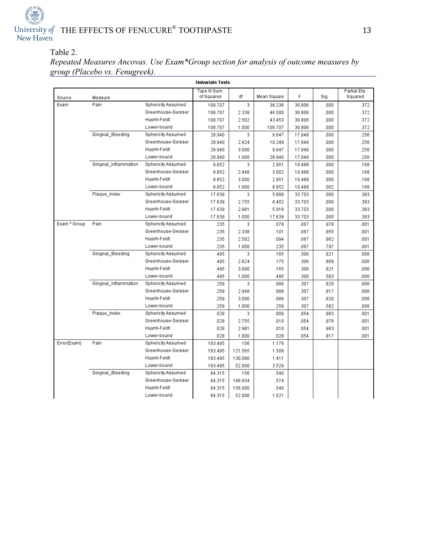

### Table 2.

*Repeated Measures Ancovas. Use Exam\*Group section for analysis of outcome measures by group (Placebo vs. Fenugreek).*

| <b>Univariate Tests</b> |                       |                    |              |         |             |        |      |             |
|-------------------------|-----------------------|--------------------|--------------|---------|-------------|--------|------|-------------|
|                         |                       |                    | Type III Sum |         |             |        |      | Partial Eta |
| Source                  | Measure               |                    | of Squares   | df      | Mean Square | F      | Sig. | Squared     |
| Exam                    | Pain                  | Sphericity Assumed | 108.707      | 3       | 36.236      | 30.806 | .000 | .372        |
|                         |                       | Greenhouse-Geisser | 108.707      | 2.338   | 46.500      | 30.806 | .000 | .372        |
|                         |                       | Huynh-Feldt        | 108.707      | 2.502   | 43.453      | 30.806 | .000 | .372        |
|                         |                       | Lower-bound        | 108.707      | 1.000   | 108.707     | 30.806 | .000 | 372         |
|                         | Gingival_Bleeding     | Sphericity Assumed | 28.940       | 3       | 9.647       | 17.848 | .000 | 256         |
|                         |                       | Greenhouse-Geisser | 28.940       | 2.824   | 10.249      | 17.848 | .000 | .256        |
|                         |                       | Huynh-Feldt        | 28.940       | 3.000   | 9.647       | 17.848 | .000 | 256         |
|                         |                       | Lower-bound        | 28.940       | 1.000   | 28.940      | 17.848 | .000 | .256        |
|                         | Gingival_Inflammation | Sphericity Assumed | 8.852        | 3       | 2.951       | 10.488 | .000 | .168        |
|                         |                       | Greenhouse-Geisser | 8.852        | 2.948   | 3.002       | 10.488 | .000 | .168        |
|                         |                       | Huynh-Feldt        | 8.852        | 3.000   | 2.951       | 10.488 | .000 | .168        |
|                         |                       | Lower-bound        | 8.852        | 1.000   | 8.852       | 10.488 | .002 | .168        |
|                         | Plaque_Index          | Sphericity Assumed | 17.639       | 3       | 5.880       | 33.703 | .000 | 393         |
|                         |                       | Greenhouse-Geisser | 17.639       | 2.755   | 6.402       | 33.703 | .000 | .393        |
|                         |                       | Huynh-Feldt        | 17.639       | 2.981   | 5.918       | 33.703 | .000 | 393         |
|                         |                       | Lower-bound        | 17.639       | 1.000   | 17.639      | 33.703 | .000 | 393         |
| Exam * Group            | Pain                  | Sphericity Assumed | .235         | 3       | .078        | .067   | .978 | .001        |
|                         |                       | Greenhouse-Geisser | .235         | 2.338   | .101        | .067   | .955 | .001        |
|                         |                       | Huynh-Feldt        | .235         | 2.502   | .094        | .067   | .962 | .001        |
|                         |                       | Lower-bound        | .235         | 1.000   | .235        | .067   | .797 | .001        |
|                         | Gingival_Bleeding     | Sphericity Assumed | 495          | 3       | .165        | .306   | 821  | .006        |
|                         |                       | Greenhouse-Geisser | .495         | 2.824   | .175        | .306   | .809 | .006        |
|                         |                       | Huynh-Feldt        | .495         | 3.000   | .165        | .306   | .821 | .006        |
|                         |                       | Lower-bound        | .495         | 1.000   | .495        | .306   | .583 | .006        |
|                         | Gingival_Inflammation | Sphericity Assumed | .259         | 3       | .086        | .307   | .820 | .006        |
|                         |                       | Greenhouse-Geisser | .259         | 2.948   | .088        | .307   | .817 | .006        |
|                         |                       | Huynh-Feldt        | .259         | 3.000   | .086        | .307   | .820 | .006        |
|                         |                       | Lower-bound        | .259         | 1.000   | .259        | .307   | .582 | .006        |
|                         | Plaque_Index          | Sphericity Assumed | .028         | 3       | .009        | .054   | .983 | .001        |
|                         |                       | Greenhouse-Geisser | .028         | 2.755   | .010        | .054   | .978 | .001        |
|                         |                       | Huynh-Feldt        | .028         | 2.981   | .010        | .054   | .983 | .001        |
|                         |                       | Lower-bound        | .028         | 1.000   | .028        | .054   | .817 | .001        |
| Error(Exam)             | Pain                  | Sphericity Assumed | 183.495      | 156     | 1.176       |        |      |             |
|                         |                       | Greenhouse-Geisser | 183.495      | 121.565 | 1.509       |        |      |             |
|                         |                       | Huvnh-Feldt        | 183.495      | 130.090 | 1.411       |        |      |             |
|                         |                       | Lower-bound        | 183.495      | 52.000  | 3.529       |        |      |             |
|                         | Gingival_Bleeding     | Sphericity Assumed | 84.315       | 156     | .540        |        |      |             |
|                         |                       | Greenhouse-Geisser | 84.315       | 146.834 | .574        |        |      |             |
|                         |                       | Huynh-Feldt        | 84.315       | 156.000 | .540        |        |      |             |
|                         |                       | Lower-bound        | 84.315       | 52.000  | 1.621       |        |      |             |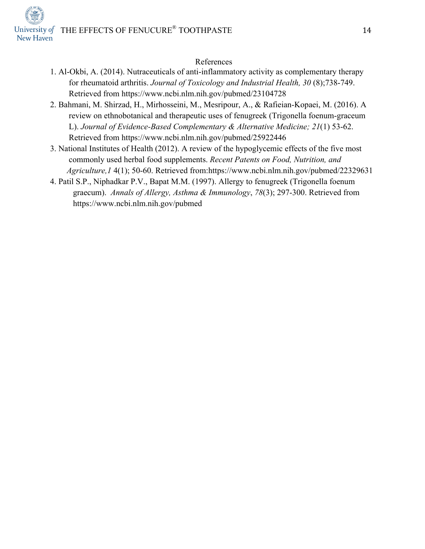## University of THE EFFECTS OF FENUCURE<sup>®</sup> TOOTHPASTE 14 New Haven



### References

- 1. Al-Okbi, A. (2014). Nutraceuticals of anti-inflammatory activity as complementary therapy for rheumatoid arthritis. *Journal of Toxicology and Industrial Health, 30* (8);738-749. Retrieved from https://www.ncbi.nlm.nih.gov/pubmed/23104728
- 2. Bahmani, M. Shirzad, H., Mirhosseini, M., Mesripour, A., & Rafieian-Kopaei, M. (2016). A review on ethnobotanical and therapeutic uses of fenugreek (Trigonella foenum-graceum L). *Journal of Evidence-Based Complementary & Alternative Medicine; 21*(1) 53-62. Retrieved from https://www.ncbi.nlm.nih.gov/pubmed/25922446
- 3. National Institutes of Health (2012). A review of the hypoglycemic effects of the five most commonly used herbal food supplements. *Recent Patents on Food, Nutrition, and Agriculture,1* 4(1); 50-60. Retrieved from:https://www.ncbi.nlm.nih.gov/pubmed/22329631
- 4. Patil S.P., Niphadkar P.V., Bapat M.M. (1997). Allergy to fenugreek (Trigonella foenum graecum). *Annals of Allergy, Asthma & Immunology*, *78*(3); 297-300. Retrieved from https://www.ncbi.nlm.nih.gov/pubmed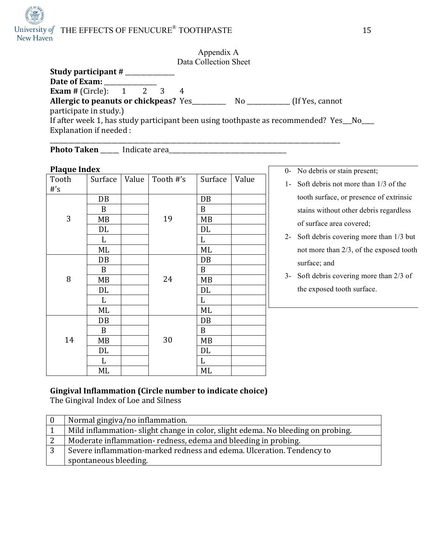## University of THE EFFECTS OF FENUCURE<sup>®</sup> TOOTHPASTE 15

| Appendix A<br>Data Collection Sheet                                                   |
|---------------------------------------------------------------------------------------|
|                                                                                       |
| Date of Exam:                                                                         |
| <b>Exam</b> # (Circle): $1 \t 2 \t 3$                                                 |
| Allergic to peanuts or chickpeas? Yes<br>(If Yes, cannot)                             |
| participate in study.)                                                                |
| If after week 1, has study participant been using toothpaste as recommended? Yes_No__ |
| Explanation if needed :                                                               |
|                                                                                       |

**Photo Taken** \_\_\_\_\_\_ Indicate area\_\_\_\_\_\_\_\_\_\_\_\_\_\_\_\_\_\_\_\_\_\_\_\_\_\_\_\_\_\_\_\_\_\_\_\_\_\_

### **Plaque Index**

| <b>Plaque Index</b> |              |       |           |                  |       |  |
|---------------------|--------------|-------|-----------|------------------|-------|--|
| Tooth               | Surface      | Value | Tooth #'s | Surface          | Value |  |
| $#$ 's              |              |       |           |                  |       |  |
|                     | DB           |       |           | DB               |       |  |
|                     | B            |       |           | B                |       |  |
| 3                   | MB           |       | 19        | MB               |       |  |
|                     | DL           |       |           | DL               |       |  |
|                     | $\mathbf{L}$ |       |           | L                |       |  |
|                     | ML           |       |           | ML               |       |  |
|                     | DB           |       |           | DB               |       |  |
|                     | B            |       |           | $\boldsymbol{B}$ |       |  |
| 8                   | MB           |       | 24        | MB               |       |  |
|                     | DL           |       |           | DL               |       |  |
|                     | L            |       |           | L                |       |  |
|                     | ML           |       |           | ML               |       |  |
|                     | DB           |       |           | DB               |       |  |
|                     | B            |       |           | B                |       |  |
| 14                  | MB           |       | 30        | MB               |       |  |
|                     | DL           |       |           | DL               |       |  |
|                     | L            |       |           | L                |       |  |
|                     | ML           |       |           | ML               |       |  |

0- No debris or stain present;

- 1- Soft debris not more than 1/3 of the tooth surface, or presence of extrinsic stains without other debris regardless of surface area covered;
- 2- Soft debris covering more than 1/3 but not more than 2/3, of the exposed tooth surface; and
- 3- Soft debris covering more than 2/3 of the exposed tooth surface.

### **Gingival Inflammation (Circle number to indicate choice)**

The Gingival Index of Loe and Silness

|   | Normal gingiva/no inflammation.                                                 |
|---|---------------------------------------------------------------------------------|
|   | Mild inflammation-slight change in color, slight edema. No bleeding on probing. |
|   | Moderate inflammation-redness, edema and bleeding in probing.                   |
| 3 | Severe inflammation-marked redness and edema. Ulceration. Tendency to           |
|   | spontaneous bleeding.                                                           |